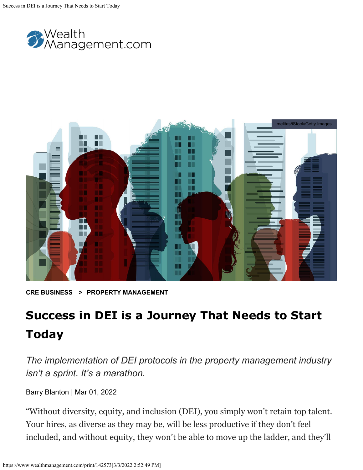



**[CRE BUSINESS](https://www.wealthmanagement.com/real-estate/cre-business) > [PROPERTY MANAGEMENT](https://www.wealthmanagement.com/real-estate/cre-business/property-management)**

## **Success in DEI is a Journey That Needs to Start Today**

*The implementation of DEI protocols in the property management industry isn't a sprint. It's a marathon.*

[Barry Blanton](https://www.wealthmanagement.com/author/Barry-Blanton) | Mar 01, 2022

"Without diversity, equity, and inclusion (DEI), you simply won't retain top talent. Your hires, as diverse as they may be, will be less productive if they don't feel included, and without equity, they won't be able to move up the ladder, and they'll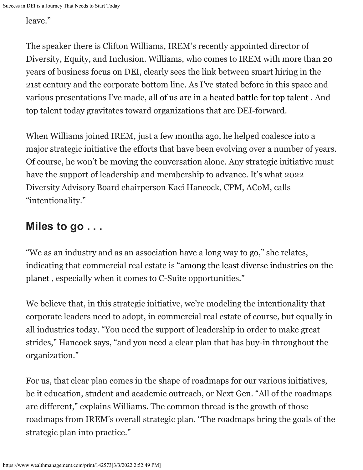leave."

The speaker there is Clifton Williams, IREM's recently appointed director of Diversity, Equity, and Inclusion. Williams, who comes to IREM with more than 20 years of business focus on DEI, clearly sees the link between smart hiring in the 21st century and the corporate bottom line. As I've stated before in this space and various presentations I've made, [all of us are in a heated battle for top talent](https://www.wealthmanagement.com/property-management/how-property-management-industry-can-address-challenge-talent-shortfall) . And top talent today gravitates toward organizations that are DEI-forward.

When Williams joined IREM, just a few months ago, he helped coalesce into a major strategic initiative the efforts that have been evolving over a number of years. Of course, he won't be moving the conversation alone. Any strategic initiative must have the support of leadership and membership to advance. It's what 2022 Diversity Advisory Board chairperson Kaci Hancock, CPM, ACoM, calls "intentionality."

## **Miles to go . . .**

"We as an industry and as an association have a long way to go," she relates, indicating that commercial real estate is ["among the least diverse industries on the](https://www.wealthmanagement.com/investment-strategies/cre-industry-progressing-diversity-and-inclusion-efforts) [planet](https://www.wealthmanagement.com/investment-strategies/cre-industry-progressing-diversity-and-inclusion-efforts) , especially when it comes to C-Suite opportunities."

We believe that, in this strategic initiative, we're modeling the intentionality that corporate leaders need to adopt, in commercial real estate of course, but equally in all industries today. "You need the support of leadership in order to make great strides," Hancock says, "and you need a clear plan that has buy-in throughout the organization."

For us, that clear plan comes in the shape of roadmaps for our various initiatives, be it education, student and academic outreach, or Next Gen. "All of the roadmaps are different," explains Williams. The common thread is the growth of those roadmaps from IREM's overall strategic plan. "The roadmaps bring the goals of the strategic plan into practice."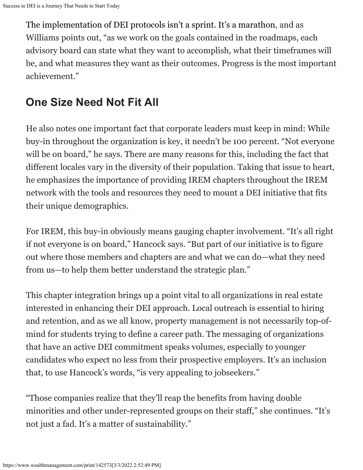The implementation of DEI protocols isn't a sprint. It's a marathon, and as Williams points out, "as we work on the goals contained in the roadmaps, each advisory board can state what they want to accomplish, what their timeframes will be, and what measures they want as their outcomes. Progress is the most important achievement."

## **One Size Need Not Fit All**

He also notes one important fact that corporate leaders must keep in mind: While buy-in throughout the organization is key, it needn't be 100 percent. "Not everyone will be on board," he says. There are many reasons for this, including the fact that different locales vary in the diversity of their population. Taking that issue to heart, he emphasizes the importance of providing IREM chapters throughout the IREM network with the tools and resources they need to mount a DEI initiative that fits their unique demographics.

For IREM, this buy-in obviously means gauging chapter involvement. "It's all right if not everyone is on board," Hancock says. "But part of our initiative is to figure out where those members and chapters are and what we can do—what they need from us—to help them better understand the strategic plan."

This chapter integration brings up a point vital to all organizations in real estate interested in enhancing their DEI approach. Local outreach is essential to hiring and retention, and as we all know, property management is not necessarily top-ofmind for students trying to define a career path. The messaging of organizations that have an active DEI commitment speaks volumes, especially to younger candidates who expect no less from their prospective employers. It's an inclusion that, to use Hancock's words, "is very appealing to jobseekers."

"Those companies realize that they'll reap the benefits from having double minorities and other under-represented groups on their staff," she continues. "It's not just a fad. It's a matter of sustainability."